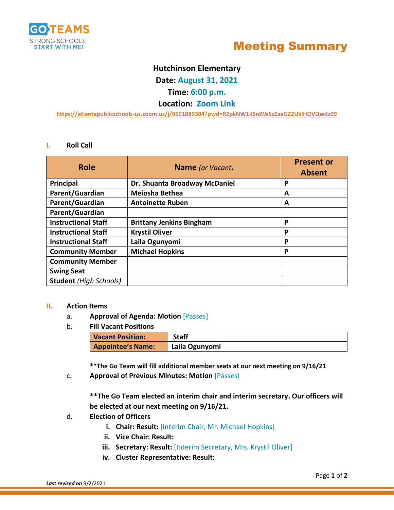



# **Hutchinson Elementary**

**Date: August 31, 2021**

## **Time: 6:00 p.m.**

### **Location: Zoom Link**

**<https://atlantapublicschools-us.zoom.us/j/9591889304?pwd=R2pkNW1KSnBWSzZaeGZ2UklHOVQwdz09>**

### **I. Roll Call**

| <b>Role</b>                   | <b>Name</b> (or Vacant)         | <b>Present or</b><br><b>Absent</b> |
|-------------------------------|---------------------------------|------------------------------------|
| <b>Principal</b>              | Dr. Shuanta Broadway McDaniel   | P                                  |
| Parent/Guardian               | Meiosha Bethea                  | A                                  |
| Parent/Guardian               | <b>Antoinette Ruben</b>         | A                                  |
| Parent/Guardian               |                                 |                                    |
| <b>Instructional Staff</b>    | <b>Brittany Jenkins Bingham</b> | P                                  |
| <b>Instructional Staff</b>    | <b>Krystil Oliver</b>           | P                                  |
| <b>Instructional Staff</b>    | Laila Ogunyomi                  | P                                  |
| <b>Community Member</b>       | <b>Michael Hopkins</b>          | P                                  |
| <b>Community Member</b>       |                                 |                                    |
| <b>Swing Seat</b>             |                                 |                                    |
| <b>Student</b> (High Schools) |                                 |                                    |

### **II. Action Items**

- a. **Approval of Agenda: Motion** [Passes]
- b. **Fill Vacant Positions**

| <b>Vacant Position:</b>  | <b>Staff</b>   |
|--------------------------|----------------|
| <b>Appointee's Name:</b> | Laila Ogunyomi |

**\*\*The Go Team will fill additional member seats at our next meeting on 9/16/21**

c. **Approval of Previous Minutes: Motion** [Passes]

**\*\*The Go Team elected an interim chair and interim secretary. Our officers will be elected at our next meeting on 9/16/21.**

- d. **Election of Officers**
	- **i. Chair: Result:** [Interim Chair, Mr. Michael Hopkins]
	- **ii. Vice Chair: Result:**
	- **iii.** Secretary: Result: [Interim Secretary, Mrs. Krystil Oliver]
	- **iv. Cluster Representative: Result:**